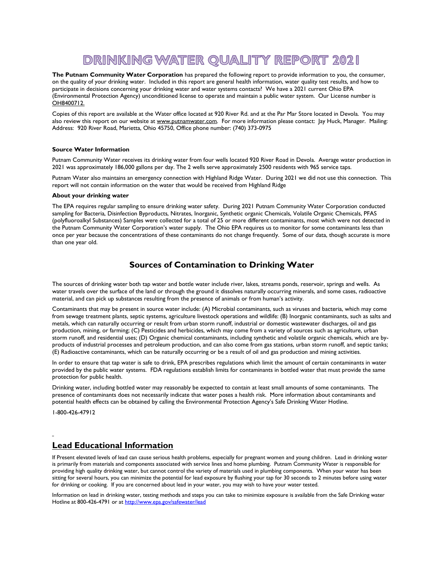# DRINKING WATER OUALITY REPORT 202 I

The Putnam Community Water Corporation has prepared the following report to provide information to you, the consumer, on the quality of your drinking water. Included in this report are general health information, water quality test results, and how to participate in decisions concerning your drinking water and water systems contacts? We have a 2021 current Ohio EPA (Environmental Protection Agency) unconditioned license to operate and maintain a public water system. Our License number is OH8400712.

Copies of this report are available at the Water office located at 920 River Rd. and at the Par Mar Store located in Devola. You may also review this report on our website at www.putnamwater.com. For more information please contact: Jay Huck, Manager. Mailing: Address: 920 River Road, Marietta, Ohio 45750, Office phone number: (740) 373-0975

## Source Water Information

Putnam Community Water receives its drinking water from four wells located 920 River Road in Devola. Average water production in 2021 was approximately 186,000 gallons per day. The 2 wells serve approximately 2500 residents with 965 service taps.

Putnam Water also maintains an emergency connection with Highland Ridge Water. During 2021 we did not use this connection. This report will not contain information on the water that would be received from Highland Ridge

## About your drinking water

The EPA requires regular sampling to ensure drinking water safety. During 2021 Putnam Community Water Corporation conducted sampling for Bacteria, Disinfection Byproducts, Nitrates, Inorganic, Synthetic organic Chemicals, Volatile Organic Chemicals, PFAS (polyfluoroalkyl Substances) Samples were collected for a total of 25 or more different contaminants, most which were not detected in the Putnam Community Water Corporation's water supply. The Ohio EPA requires us to monitor for some contaminants less than once per year because the concentrations of these contaminants do not change frequently. Some of our data, though accurate is more than one year old.

# Sources of Contamination to Drinking Water

The sources of drinking water both tap water and bottle water include river, lakes, streams ponds, reservoir, springs and wells. As water travels over the surface of the land or through the ground it dissolves naturally occurring minerals, and some cases, radioactive material, and can pick up substances resulting from the presence of animals or from human's activity.

Contaminants that may be present in source water include: (A) Microbial contaminants, such as viruses and bacteria, which may come from sewage treatment plants, septic systems, agriculture livestock operations and wildlife: (B) Inorganic contaminants, such as salts and metals, which can naturally occurring or result from urban storm runoff, industrial or domestic wastewater discharges, oil and gas production, mining, or farming; (C) Pesticides and herbicides, which may come from a variety of sources such as agriculture, urban storm runoff, and residential uses; (D) Organic chemical contaminants, including synthetic and volatile organic chemicals, which are byproducts of industrial processes and petroleum production, and can also come from gas stations, urban storm runoff, and septic tanks; (E) Radioactive contaminants, which can be naturally occurring or be a result of oil and gas production and mining activities.

In order to ensure that tap water is safe to drink, EPA prescribes regulations which limit the amount of certain contaminants in water provided by the public water systems. FDA regulations establish limits for contaminants in bottled water that must provide the same protection for public health.

Drinking water, including bottled water may reasonably be expected to contain at least small amounts of some contaminants. The presence of contaminants does not necessarily indicate that water poses a health risk. More information about contaminants and potential health effects can be obtained by calling the Environmental Protection Agency's Safe Drinking Water Hotline.

1-800-426-47912

 $\overline{a}$ 

# Lead Educational Information

If Present elevated levels of lead can cause serious health problems, especially for pregnant women and young children. Lead in drinking water is primarily from materials and components associated with service lines and home plumbing. Putnam Community Water is responsible for providing high quality drinking water, but cannot control the variety of materials used in plumbing components. When your water has been sitting for several hours, you can minimize the potential for lead exposure by flushing your tap for 30 seconds to 2 minutes before using water for drinking or cooking. If you are concerned about lead in your water, you may wish to have your water tested.

Information on lead in drinking water, testing methods and steps you can take to minimize exposure is available from the Safe Drinking water Hotline at 800-426-4791 or at http://www.epa.gov/safewater/lead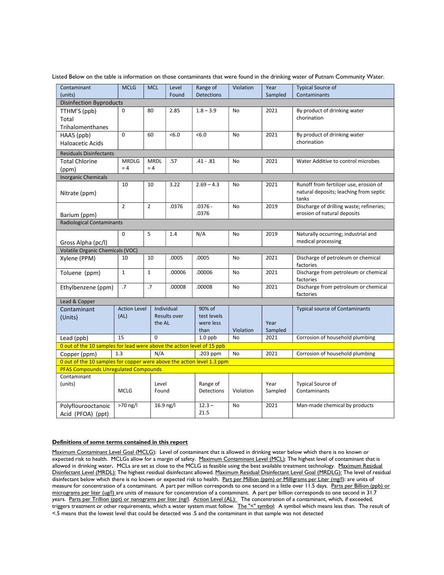| Contaminant<br>(units)                                                 | <b>MCLG</b>         | <b>MCL</b>      | Level<br>Found      | Range of<br><b>Detections</b> | Violation | Year<br>Sampled | <b>Typical Source of</b><br>Contaminants                                         |
|------------------------------------------------------------------------|---------------------|-----------------|---------------------|-------------------------------|-----------|-----------------|----------------------------------------------------------------------------------|
| <b>Disinfection Byproducts</b>                                         |                     |                 |                     |                               |           |                 |                                                                                  |
| TTHM'S (ppb)                                                           | 0                   | 80              | 2.85                | $1.8 - 3.9$                   | No        | 2021            | By product of drinking water                                                     |
| Total                                                                  |                     |                 |                     |                               |           |                 | chorination                                                                      |
| Trihalomenthanes                                                       |                     |                 |                     |                               |           |                 |                                                                                  |
| HAA5 (ppb)                                                             | 0                   | 60              | <6.0                | <6.0                          | No        | 2021            | By product of drinking water                                                     |
| <b>Haloacetic Acids</b>                                                |                     |                 |                     |                               |           |                 | chorination                                                                      |
| <b>Residuals Disinfectants</b>                                         |                     |                 |                     |                               |           |                 |                                                                                  |
| <b>Total Chlorine</b>                                                  | <b>MRDLG</b>        | <b>MRDL</b>     | .57                 | $.41 - .81$                   | No        | 2021            | Water Additive to control microbes                                               |
| (ppm)                                                                  | $= 4$               | $= 4$           |                     |                               |           |                 |                                                                                  |
| <b>Inorganic Chemicals</b>                                             |                     |                 |                     |                               |           |                 |                                                                                  |
|                                                                        | 10                  | 10              | 3.22                | $2.69 - 4.3$                  | No        | 2021            | Runoff from fertilizer use, erosion of<br>natural deposits; leaching from septic |
| Nitrate (ppm)                                                          |                     |                 |                     |                               |           |                 | tanks                                                                            |
|                                                                        | $\overline{2}$      | $\overline{2}$  | .0376               | $.0376 -$                     | <b>No</b> | 2019            | Discharge of drilling waste; refineries;                                         |
| Barium (ppm)                                                           |                     |                 |                     | .0376                         |           |                 | erosion of natural deposits                                                      |
| Radiological Contaminants                                              |                     |                 |                     |                               |           |                 |                                                                                  |
|                                                                        | 0                   | 5               | 1.4                 | N/A                           | <b>No</b> | 2019            | Naturally occurring; industrial and                                              |
| Gross Alpha (pc/l)                                                     |                     |                 |                     |                               |           |                 | medical processing                                                               |
| Volatile Organic Chemicals (VOC)                                       |                     |                 |                     |                               |           |                 |                                                                                  |
| Xylene (PPM)                                                           | 10                  | 10              | .0005               | .0005                         | No        | 2021            | Discharge of petroleum or chemical<br>factories                                  |
| Toluene (ppm)                                                          | $\mathbf{1}$        | $\mathbf{1}$    | .00006              | .00006                        | <b>No</b> | 2021            | Discharge from petroleum or chemical<br>factories                                |
| Ethylbenzene (ppm)                                                     | .7                  | $\overline{.7}$ | .00008              | .00008                        | <b>No</b> | 2021            | Discharge from petroleum or chemical<br>factories                                |
| Lead & Copper                                                          |                     |                 |                     |                               |           |                 |                                                                                  |
| Contaminant                                                            | <b>Action Level</b> |                 | Individual          | 90% of                        |           |                 | <b>Typical source of Contaminants</b>                                            |
| (Units)                                                                | (AL)                | the AL          | <b>Results over</b> | test levels<br>were less      |           | Year            |                                                                                  |
|                                                                        |                     |                 |                     | than                          | Violation | Sampled         |                                                                                  |
| Lead (ppb)                                                             | 15                  | $\Omega$        |                     | $1.0$ ppb                     | <b>No</b> | 2021            | Corrosion of household plumbing                                                  |
| 0 out of the 10 samples for lead were above the action level of 15 ppb |                     |                 |                     |                               |           |                 |                                                                                  |
| Copper (ppm)                                                           | 1.3                 | N/A             |                     | .203 ppm                      | <b>No</b> | 2021            | Corrosion of household plumbing                                                  |
| 0 out of the 10 samples for copper were above the action level 1.3 ppm |                     |                 |                     |                               |           |                 |                                                                                  |
| <b>PFAS Compounds Unregulated Compounds</b>                            |                     |                 |                     |                               |           |                 |                                                                                  |
| Contaminant                                                            |                     |                 |                     |                               |           | Year            |                                                                                  |
| (units)<br><b>MCLG</b>                                                 |                     | Level<br>Found  |                     | Range of<br>Detections        | Violation | Sampled         | <b>Typical Source of</b><br>Contaminants                                         |
|                                                                        |                     |                 |                     |                               |           |                 |                                                                                  |
| Polyflourooctanoic<br>Acid (PFOA) (ppt)                                | >70 ng/l            | 16.9 ng/l       |                     | $12.3 -$<br>21.5              | No        | 2021            | Man-made chemical by products                                                    |

Listed Below on the table is information on those contaminants that were found in the drinking water of Putnam Community Water.

## Definitions of some terms contained in this report

Maximum Contaminant Level Goal (MCLG): Level of contaminant that is allowed in drinking water below which there is no known or expected risk to health. MCLGs allow for a margin of safety. Maximum Contaminant Level (MCL): The highest level of contaminant that is allowed in drinking water. MCLs are set as close to the MCLG as feasible using the best available treatment technology. Maximum Residual Disinfectant Level (MRDL): The highest residual disinfectant allowed. Maximum Residual Disinfectant Level Goal (MRDLG): The level of residual disinfectant below which there is no known or expected risk to health. Part per Million (ppm) or Milligrams per Liter (mg/l): are units of measure for concentration of a contaminant. A part per million corresponds to one second in a little over 11.5 days. Parts per Billion (ppb) or micrograms per liter (ug/l) are units of measure for concentration of a contaminant. A part per billion corresponds to one second in 31.7 years. Parts per Trillion (ppt) or nanograms per liter (ng/l. Action Level (AL): The concentration of a contaminant, which, if exceeded, triggers treatment or other requirements, which a water system must follow. <u>The "<" symbol</u>: A symbol which means less than. The result of <.5 means that the lowest level that could be detected was .5 and the contaminant in that sample was not detected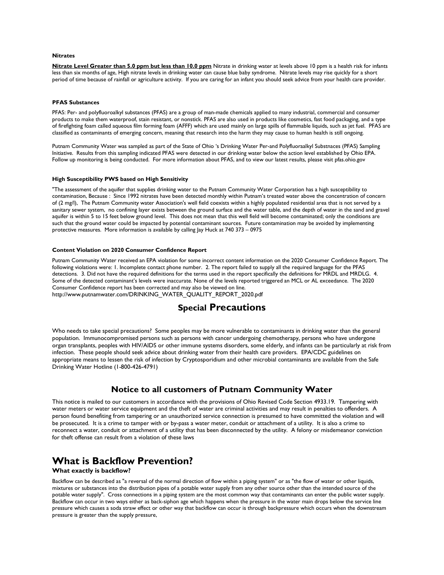#### **Nitrates**

Nitrate Level Greater than 5.0 ppm but less than 10.0 ppm Nitrate in drinking water at levels above 10 ppm is a health risk for infants less than six months of age, High nitrate levels in drinking water can cause blue baby syndrome. Nitrate levels may rise quickly for a short period of time because of rainfall or agriculture activity. If you are caring for an infant you should seek advice from your health care provider.

## PFAS Substances

PFAS: Per- and polyfluoroalkyl substances (PFAS) are a group of man-made chemicals applied to many industrial, commercial and consumer products to make them waterproof, stain resistant, or nonstick. PFAS are also used in products like cosmetics, fast food packaging, and a type of firefighting foam called aqueous film forming foam (AFFF) which are used mainly on large spills of flammable liquids, such as jet fuel. PFAS are classified as contaminants of emerging concern, meaning that research into the harm they may cause to human health is still ongoing.

Putnam Community Water was sampled as part of the State of Ohio 's Drinking Water Per-and Polyfluoraalkyl Substnaces (PFAS) Sampling Initiative. Results from this sampling indicated PFAS were detected in our drinking water below the action level established by Ohio EPA. Follow up monitoring is being conducted. For more information about PFAS, and to view our latest results, please visit pfas.ohio.gov

# High Susceptibility PWS based on High Sensitivity

"The assessment of the aquifer that supplies drinking water to the Putnam Community Water Corporation has a high susceptibility to contamination, Because : Since 1992 nitrates have been detected monthly within Putnam's treated water above the concentration of concern of (2 mg/l), The Putnam Community water Association's well field coexists within a highly populated residential area that is not served by a sanitary sewer system, no confining layer exists between the ground surface and the water table, and the depth of water in the sand and gravel aquifer is within 5 to 15 feet below ground level. This does not mean that this well field will become contaminated; only the conditions are such that the ground water could be impacted by potential contaminant sources. Future contamination may be avoided by implementing protective measures. More information is available by calling Jay Huck at 740 373 – 0975

## Content Violation on 2020 Consumer Confidence Report

Putnam Community Water received an EPA violation for some incorrect content information on the 2020 Consumer Confidence Report. The following violations were: 1. Incomplete contact phone number. 2. The report failed to supply all the required language for the PFAS detections. 3. Did not have the required definitions for the terms used in the report specifically the definitions for MRDL and MRDLG. 4. Some of the detected contaminant's levels were inaccurate. None of the levels reported triggered an MCL or AL exceedance. The 2020 Consumer Confidence report has been corrected and may also be viewed on line. http://www.putnamwater.com/DRINKING\_WATER\_QUALITY\_REPORT\_2020.pdf

# Special Precautions

Who needs to take special precautions? Some peoples may be more vulnerable to contaminants in drinking water than the general population. Immunocompromised persons such as persons with cancer undergoing chemotherapy, persons who have undergone organ transplants, peoples with HIV/AIDS or other immune systems disorders, some elderly, and infants can be particularly at risk from infection. These people should seek advice about drinking water from their health care providers. EPA/CDC guidelines on appropriate means to lessen the risk of infection by Cryptosporidium and other microbial contaminants are available from the Safe Drinking Water Hotline (1-800-426-4791)

# Notice to all customers of Putnam Community Water

This notice is mailed to our customers in accordance with the provisions of Ohio Revised Code Section 4933.19. Tampering with water meters or water service equipment and the theft of water are criminal activities and may result in penalties to offenders. A person found benefiting from tampering or an unauthorized service connection is presumed to have committed the violation and will be prosecuted. It is a crime to tamper with or by-pass a water meter, conduit or attachment of a utility. It is also a crime to reconnect a water, conduit or attachment of a utility that has been disconnected by the utility. A felony or misdemeanor conviction for theft offense can result from a violation of these laws

# What is Backflow Prevention?

# What exactly is backflow?

Backflow can be described as "a reversal of the normal direction of flow within a piping system" or as "the flow of water or other liquids, mixtures or substances into the distribution pipes of a potable water supply from any other source other than the intended source of the potable water supply". Cross connections in a piping system are the most common way that contaminants can enter the public water supply. Backflow can occur in two ways either as back-siphon age which happens when the pressure in the water main drops below the service line pressure which causes a soda straw effect or other way that backflow can occur is through backpressure which occurs when the downstream pressure is greater than the supply pressure,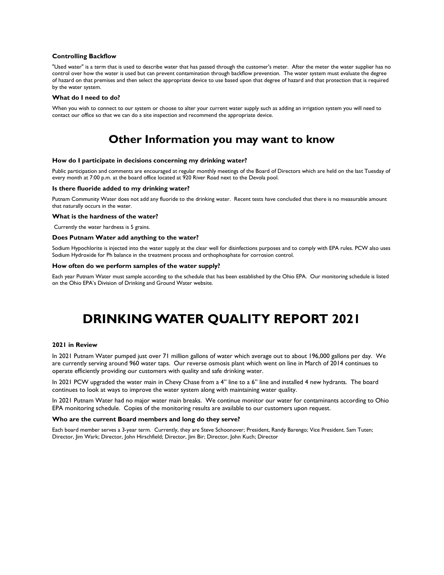## Controlling Backflow

"Used water" is a term that is used to describe water that has passed through the customer's meter. After the meter the water supplier has no control over how the water is used but can prevent contamination through backflow prevention. The water system must evaluate the degree of hazard on that premises and then select the appropriate device to use based upon that degree of hazard and that protection that is required by the water system.

#### What do I need to do?

When you wish to connect to our system or choose to alter your current water supply such as adding an irrigation system you will need to contact our office so that we can do a site inspection and recommend the appropriate device.

# Other Information you may want to know

#### How do I participate in decisions concerning my drinking water?

Public participation and comments are encouraged at regular monthly meetings of the Board of Directors which are held on the last Tuesday of every month at 7:00 p.m. at the board office located at 920 River Road next to the Devola pool.

#### Is there fluoride added to my drinking water?

Putnam Community Water does not add any fluoride to the drinking water. Recent tests have concluded that there is no measurable amount that naturally occurs in the water.

#### What is the hardness of the water?

Currently the water hardness is 5 grains.

## Does Putnam Water add anything to the water?

Sodium Hypochlorite is injected into the water supply at the clear well for disinfections purposes and to comply with EPA rules. PCW also uses Sodium Hydroxide for Ph balance in the treatment process and orthophosphate for corrosion control.

# How often do we perform samples of the water supply?

Each year Putnam Water must sample according to the schedule that has been established by the Ohio EPA. Our monitoring schedule is listed on the Ohio EPA's Division of Drinking and Ground Water website.

# DRINKING WATER QUALITY REPORT 2021

## 2021 in Review

In 2021 Putnam Water pumped just over 71 million gallons of water which average out to about 196,000 gallons per day. We are currently serving around 960 water taps. Our reverse osmosis plant which went on line in March of 2014 continues to operate efficiently providing our customers with quality and safe drinking water.

In 2021 PCW upgraded the water main in Chevy Chase from a 4" line to a 6" line and installed 4 new hydrants. The board continues to look at ways to improve the water system along with maintaining water quality.

In 2021 Putnam Water had no major water main breaks. We continue monitor our water for contaminants according to Ohio EPA monitoring schedule. Copies of the monitoring results are available to our customers upon request.

#### Who are the current Board members and long do they serve?

Each board member serves a 3-year term. Currently, they are Steve Schoonover; President, Randy Barengo; Vice President. Sam Tuten; Director, Jim Wark; Director, John Hirschfield; Director, Jim Bir; Director, John Kuch; Director